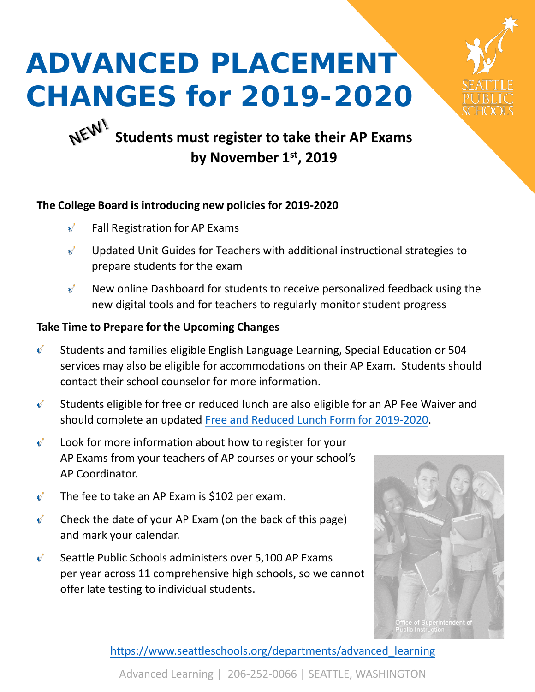

# **ADVANCED PLACEMENT CHANGES for 2019-2020**

# NEW! **Students must register to take their AP Exams by November 1st, 2019**

### **The College Board is introducing new policies for 2019-2020**

- Fall Registration for AP Exams N.
- $\mathbf{v}^{\mathbf{r}}$ Updated Unit Guides for Teachers with additional instructional strategies to prepare students for the exam
- $\mathbf{v}^{\star}$ New online Dashboard for students to receive personalized feedback using the new digital tools and for teachers to regularly monitor student progress

## **Take Time to Prepare for the Upcoming Changes**

- $\psi^*$ Students and families eligible English Language Learning, Special Education or 504 services may also be eligible for accommodations on their AP Exam. Students should contact their school counselor for more information.
- Students eligible for free or reduced lunch are also eligible for an AP Fee Waiver and  $\mathbf{v}^{\prime}$ should complete an updated [Free and Reduced Lunch Form for 2019-2020](https://www.seattleschools.org/cms/One.aspx?portalId=627&pageId=18853).
- $\mathbf{v}^{\prime}$ Look for more information about how to register for your AP Exams from your teachers of AP courses or your school's AP Coordinator.
- $\mathbf{v}^*$ The fee to take an AP Exam is \$102 per exam.
- $\mathbf{v}^*$ Check the date of your AP Exam (on the back of this page) and mark your calendar.
- Seattle Public Schools administers over 5,100 AP Exams  $\mathbf{v}^*$ per year across 11 comprehensive high schools, so we cannot offer late testing to individual students.



[https://www.seattleschools.org/departments/advanced\\_learning](https://www.seattleschools.org/departments/advanced_learning)